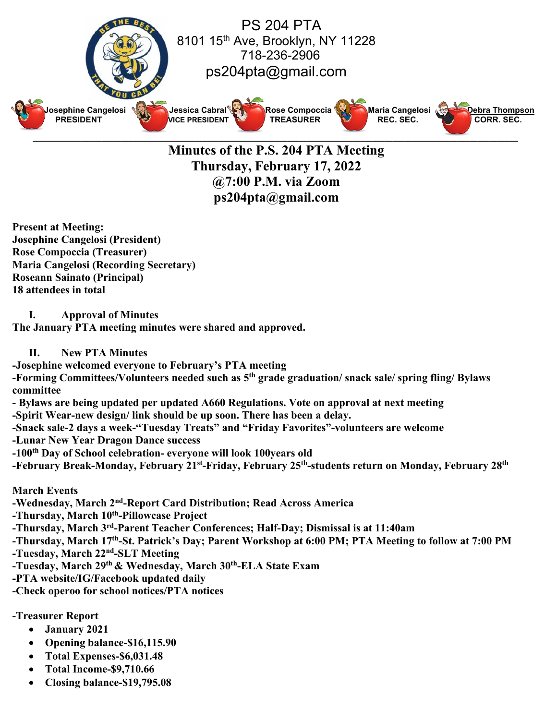

**Minutes of the P.S. 204 PTA Meeting Thursday, February 17, 2022 @7:00 P.M. via Zoom ps204pta@gmail.com**

**Present at Meeting: Josephine Cangelosi (President) Rose Compoccia (Treasurer) Maria Cangelosi (Recording Secretary) Roseann Sainato (Principal) 18 attendees in total**

**I. Approval of Minutes**

**The January PTA meeting minutes were shared and approved.**

## **II. New PTA Minutes**

**-Josephine welcomed everyone to February's PTA meeting**

**-Forming Committees/Volunteers needed such as 5th grade graduation/ snack sale/ spring fling/ Bylaws committee**

**- Bylaws are being updated per updated A660 Regulations. Vote on approval at next meeting**

**-Spirit Wear-new design/ link should be up soon. There has been a delay.** 

**-Snack sale-2 days a week-"Tuesday Treats" and "Friday Favorites"-volunteers are welcome**

**-Lunar New Year Dragon Dance success**

**-100th Day of School celebration- everyone will look 100years old**

**-February Break-Monday, February 21st-Friday, February 25th-students return on Monday, February 28th**

**March Events**

**-Wednesday, March 2nd-Report Card Distribution; Read Across America**

**-Thursday, March 10th-Pillowcase Project**

**-Thursday, March 3rd-Parent Teacher Conferences; Half-Day; Dismissal is at 11:40am**

**-Thursday, March 17th-St. Patrick's Day; Parent Workshop at 6:00 PM; PTA Meeting to follow at 7:00 PM**

**-Tuesday, March 22nd-SLT Meeting**

**-Tuesday, March 29th & Wednesday, March 30th-ELA State Exam**

**-PTA website/IG/Facebook updated daily**

**-Check operoo for school notices/PTA notices**

**-Treasurer Report**

- **January 2021**
- **Opening balance-\$16,115.90**
- **Total Expenses-\$6,031.48**
- **Total Income-\$9,710.66**
- **Closing balance-\$19,795.08**